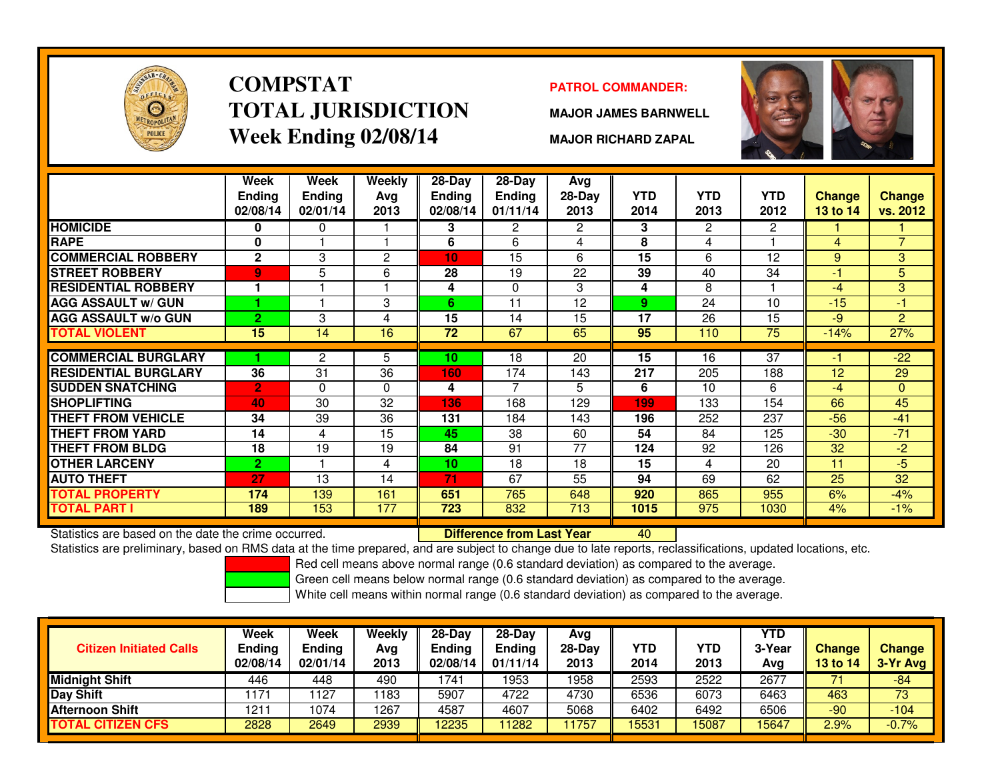

### **COMPSTATTOTAL JURISDICTIONWeek Ending 02/08/14**

### **PATROL COMMANDER:**

**MAJOR JAMES BARNWELL**



**MAJOR RICHARD ZAPAL**

|                                                      | Week<br><b>Ending</b><br>02/08/14 | Week<br><b>Ending</b><br>02/01/14 | Weekly<br>Avg<br>2013 | $28 - Day$<br>Ending<br>02/08/14 | $28 - Day$<br>Ending<br>01/11/14 | Avg<br>28-Day<br>2013 | <b>YTD</b><br>2014 | <b>YTD</b><br>2013   | <b>YTD</b><br>2012 | <b>Change</b><br>13 to 14 | <b>Change</b><br>vs. 2012 |
|------------------------------------------------------|-----------------------------------|-----------------------------------|-----------------------|----------------------------------|----------------------------------|-----------------------|--------------------|----------------------|--------------------|---------------------------|---------------------------|
| <b>HOMICIDE</b>                                      | 0                                 | 0                                 |                       | 3                                | $\overline{2}$                   | $\overline{2}$        | 3                  | $\mathbf{2}^{\circ}$ | $\overline{2}$     |                           |                           |
| <b>RAPE</b>                                          | 0                                 |                                   |                       | 6                                | 6                                | 4                     | 8                  | 4                    |                    | 4                         | $\overline{7}$            |
| <b>COMMERCIAL ROBBERY</b>                            | $\mathbf{2}$                      | 3                                 | $\overline{2}$        | 10                               | 15                               | 6                     | 15                 | 6                    | 12                 | 9                         | 3                         |
| <b>STREET ROBBERY</b>                                | 9                                 | 5                                 | 6                     | 28                               | 19                               | 22                    | 39                 | 40                   | 34                 | $-1$                      | 5                         |
| <b>RESIDENTIAL ROBBERY</b>                           |                                   |                                   |                       | 4                                | $\Omega$                         | 3                     | 4                  | 8                    |                    | $-4$                      | 3                         |
| <b>AGG ASSAULT w/ GUN</b>                            |                                   |                                   | 3                     | 6                                | 11                               | 12                    | 9                  | 24                   | 10                 | $-15$                     | $-1$                      |
| <b>AGG ASSAULT w/o GUN</b>                           | $\overline{2}$                    | 3                                 | 4                     | 15                               | 14                               | 15                    | 17                 | 26                   | 15                 | $-9$                      | $\overline{2}$            |
| TOTAL VIOLENT                                        | 15                                | 14                                | 16                    | 72                               | 67                               | 65                    | 95                 | 110                  | 75                 | $-14%$                    | 27%                       |
|                                                      |                                   |                                   |                       |                                  |                                  |                       |                    |                      |                    |                           |                           |
| <b>COMMERCIAL BURGLARY</b>                           |                                   | 2                                 | 5                     | 10                               | 18                               | 20                    | 15                 | 16                   | 37                 | -1                        | $-22$                     |
| <b>RESIDENTIAL BURGLARY</b>                          | 36                                | 31                                | 36                    | 160                              | 174                              | 143                   | 217                | 205                  | 188                | 12                        | 29                        |
| <b>SUDDEN SNATCHING</b>                              | $\overline{2}$                    | $\Omega$                          | $\mathbf{0}$          | 4                                | 7                                | 5                     | 6                  | 10                   | 6                  | $-4$                      | $\mathbf{0}$              |
| <b>SHOPLIFTING</b>                                   | 40                                | 30                                | 32                    | 136                              | 168                              | 129                   | 199                | 133                  | 154                | 66                        | 45                        |
| <b>THEFT FROM VEHICLE</b>                            | 34                                | 39                                | 36                    | 131                              | 184                              | 143                   | 196                | 252                  | 237                | $-56$                     | $-41$                     |
| <b>THEFT FROM YARD</b>                               | 14                                | 4                                 | 15                    | 45                               | 38                               | 60                    | 54                 | 84                   | 125                | $-30$                     | $-71$                     |
| <b>THEFT FROM BLDG</b>                               | 18                                | 19                                | 19                    | 84                               | 91                               | 77                    | 124                | 92                   | 126                | 32                        | $-2$                      |
| <b>OTHER LARCENY</b>                                 | $\overline{2}$                    |                                   | 4                     | 10                               | 18                               | 18                    | 15                 | 4                    | 20                 | 11                        | $-5$                      |
| <b>AUTO THEFT</b>                                    | 27                                | 13                                | 14                    | 71                               | 67                               | 55                    | 94                 | 69                   | 62                 | 25                        | $\overline{32}$           |
| <b>TOTAL PROPERTY</b>                                | 174                               | 139                               | 161                   | 651                              | 765                              | 648                   | 920                | 865                  | 955                | 6%                        | $-4%$                     |
| <b>TOTAL PART I</b>                                  | 189                               | 153                               | 177                   | 723                              | 832                              | 713                   | 1015               | 975                  | 1030               | 4%                        | $-1%$                     |
| Statistics are based on the date the crime occurred. |                                   |                                   |                       |                                  | <b>Difference from Last Year</b> |                       | 40                 |                      |                    |                           |                           |

Statistics are based on the date the crime occurred. **Difference from Last Year** 

Statistics are preliminary, based on RMS data at the time prepared, and are subject to change due to late reports, reclassifications, updated locations, etc.

Red cell means above normal range (0.6 standard deviation) as compared to the average.

Green cell means below normal range (0.6 standard deviation) as compared to the average.

| <b>Citizen Initiated Calls</b> | Week<br><b>Ending</b><br>02/08/14 | <b>Week</b><br><b>Ending</b><br>02/01/14 | Weekly<br>Avg<br>2013 | $28-Dav$<br><b>Ending</b><br>02/08/14 | $28-Day$<br><b>Ending</b><br>01/11/14 | Avg<br>$28-Dav$<br>2013 | <b>YTD</b><br>2014 | YTD<br>2013 | <b>YTD</b><br>3-Year<br>Ava | <b>Change</b><br>13 to 14 | <b>Change</b><br>3-Yr Avg |
|--------------------------------|-----------------------------------|------------------------------------------|-----------------------|---------------------------------------|---------------------------------------|-------------------------|--------------------|-------------|-----------------------------|---------------------------|---------------------------|
| <b>Midnight Shift</b>          | 446                               | 448                                      | 490                   | 1741                                  | 1953                                  | 1958                    | 2593               | 2522        | 2677                        |                           | $-84$                     |
| <b>Day Shift</b>               | 1171                              | 127                                      | 1183                  | 5907                                  | 4722                                  | 4730                    | 6536               | 6073        | 6463                        | 463                       | 73                        |
| Afternoon Shift                | 121                               | 1074                                     | 1267                  | 4587                                  | 4607                                  | 5068                    | 6402               | 6492        | 6506                        | $-90$                     | $-104$                    |
| <b>CITIZEN CFS</b><br>TOTAL    | 2828                              | 2649                                     | 2939                  | 12235                                 | 11282                                 | 1757                    | 15531              | 15087       | 15647                       | 2.9%                      | $-0.7%$                   |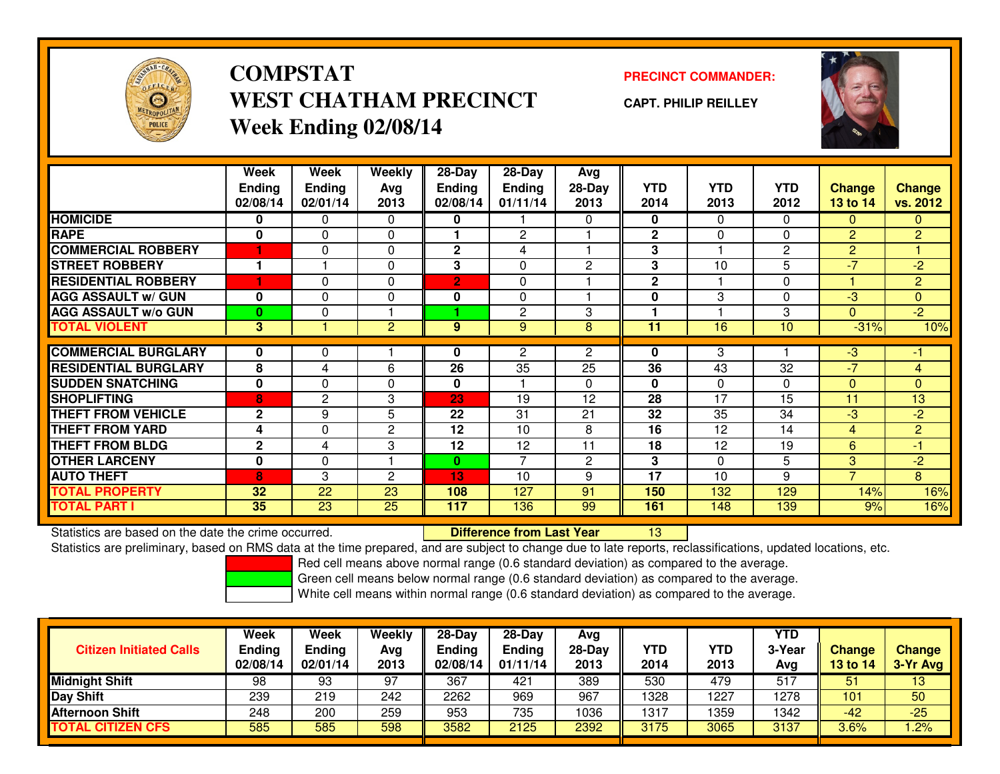

# **COMPSTATWEST CHATHAM PRECINCTWeek Ending 02/08/14**

### **PRECINCT COMMANDER:**

**CAPT. PHILIP REILLEY**



|                             | Week<br><b>Ending</b><br>02/08/14 | Week<br><b>Ending</b><br>02/01/14 | Weekly<br>Ava<br>2013 | $28-Day$<br><b>Ending</b><br>02/08/14 | $28$ -Day<br><b>Ending</b><br>01/11/14 | Avg<br>28-Day<br>2013 | <b>YTD</b><br>2014 | <b>YTD</b><br>2013 | <b>YTD</b><br>2012 | <b>Change</b><br><b>13 to 14</b> | Change<br>vs. 2012 |
|-----------------------------|-----------------------------------|-----------------------------------|-----------------------|---------------------------------------|----------------------------------------|-----------------------|--------------------|--------------------|--------------------|----------------------------------|--------------------|
| <b>HOMICIDE</b>             | 0                                 | 0                                 | 0                     | 0                                     |                                        | $\Omega$              | 0                  | $\Omega$           | 0                  | $\mathbf{0}$                     | 0                  |
| <b>RAPE</b>                 | $\mathbf 0$                       | 0                                 | 0                     |                                       | $\mathbf{2}$                           |                       | $\mathbf{2}$       | $\mathbf{0}$       | 0                  | 2                                | $\overline{2}$     |
| <b>COMMERCIAL ROBBERY</b>   |                                   | $\Omega$                          | 0                     | $\mathbf{2}$                          | 4                                      |                       | 3                  |                    | 2                  | 2                                |                    |
| <b>STREET ROBBERY</b>       |                                   |                                   | 0                     | 3                                     | 0                                      | $\overline{2}$        | 3                  | 10                 | 5                  | $-7$                             | $-2$               |
| <b>RESIDENTIAL ROBBERY</b>  | ٠                                 | $\Omega$                          | $\Omega$              | $\overline{2}$                        | $\Omega$                               |                       | $\mathbf{2}$       |                    | $\Omega$           |                                  | $\overline{2}$     |
| <b>AGG ASSAULT w/ GUN</b>   | $\bf{0}$                          | 0                                 | 0                     | 0                                     | $\Omega$                               |                       | 0                  | 3                  | $\Omega$           | $-3$                             | $\overline{0}$     |
| <b>AGG ASSAULT w/o GUN</b>  | $\bf{0}$                          | 0                                 |                       |                                       | 2                                      | 3                     |                    |                    | 3                  | $\Omega$                         | $-2$               |
| <b>TOTAL VIOLENT</b>        | 3                                 |                                   | $\overline{c}$        | 9                                     | 9                                      | 8                     | 11                 | 16                 | 10                 | $-31%$                           | 10%                |
|                             |                                   |                                   |                       |                                       |                                        |                       |                    |                    |                    |                                  |                    |
| <b>COMMERCIAL BURGLARY</b>  | 0                                 | 0                                 |                       | 0                                     | 2                                      | $\overline{2}$        | 0                  | 3                  |                    | $-3$                             | -1                 |
| <b>RESIDENTIAL BURGLARY</b> | 8                                 | 4                                 | 6                     | $\overline{26}$                       | $\overline{35}$                        | 25                    | 36                 | 43                 | 32                 | $-7$                             | 4                  |
| <b>SUDDEN SNATCHING</b>     | $\mathbf{0}$                      | 0                                 | 0                     | $\mathbf{0}$                          |                                        | $\Omega$              | $\bf{0}$           | $\mathbf{0}$       | $\Omega$           | $\Omega$                         | $\overline{0}$     |
| <b>SHOPLIFTING</b>          | 8                                 | $\mathbf{2}$                      | 3                     | 23                                    | 19                                     | 12                    | 28                 | 17                 | 15                 | 11                               | 13                 |
| <b>THEFT FROM VEHICLE</b>   | $\mathbf{2}$                      | 9                                 | 5                     | 22                                    | 31                                     | 21                    | 32                 | 35                 | 34                 | $-3$                             | $-2$               |
| <b>THEFT FROM YARD</b>      | 4                                 | $\Omega$                          | 2                     | 12                                    | 10                                     | 8                     | 16                 | 12                 | 14                 | 4                                | $\overline{2}$     |
| <b>THEFT FROM BLDG</b>      | $\mathbf{2}$                      | 4                                 | 3                     | 12                                    | 12                                     | 11                    | 18                 | 12                 | 19                 | 6                                | -1                 |
| <b>OTHER LARCENY</b>        | 0                                 | 0                                 |                       | $\bf{0}$                              | $\overline{7}$                         | $\mathbf{2}$          | 3                  | $\Omega$           | 5                  | 3                                | $-2$               |
| <b>AUTO THEFT</b>           | 8                                 | 3                                 | 2                     | 13                                    | 10                                     | 9                     | 17                 | 10                 | 9                  | $\overline{7}$                   | 8                  |
| <b>TOTAL PROPERTY</b>       | 32                                | 22                                | 23                    | 108                                   | 127                                    | 91                    | 150                | 132                | 129                | 14%                              | 16%                |
| <b>TOTAL PART I</b>         | 35                                | 23                                | 25                    | 117                                   | 136                                    | 99                    | 161                | 148                | 139                | 9%                               | 16%                |

Statistics are based on the date the crime occurred. **Difference from Last Year** 

Statistics are based on the date the crime occurred.<br>Statistics are preliminary, based on RMS data at the time prepared, and are subject to change due to late reports, reclassifications, updated locations, etc.

Red cell means above normal range (0.6 standard deviation) as compared to the average.

Green cell means below normal range (0.6 standard deviation) as compared to the average.

| <b>Citizen Initiated Calls</b> | Week<br><b>Ending</b><br>02/08/14 | Week<br><b>Ending</b><br>02/01/14 | Weekly<br>Avg<br>2013 | $28-Day$<br>Ending<br>02/08/14 | $28-Day$<br><b>Ending</b><br>01/11/14 | Avg<br>28-Day<br>2013 | YTD<br>2014 | YTD<br>2013 | <b>YTD</b><br>3-Year<br>Avg | <b>Change</b><br>13 to 14 | <b>Change</b><br>3-Yr Avg |
|--------------------------------|-----------------------------------|-----------------------------------|-----------------------|--------------------------------|---------------------------------------|-----------------------|-------------|-------------|-----------------------------|---------------------------|---------------------------|
| <b>Midnight Shift</b>          | 98                                | 93                                | 97                    | 367                            | 421                                   | 389                   | 530         | 479         | 517                         | 51                        | 13                        |
| <b>Day Shift</b>               | 239                               | 219                               | 242                   | 2262                           | 969                                   | 967                   | 1328        | 227         | 1278                        | 101                       | 50                        |
| Afternoon Shift                | 248                               | 200                               | 259                   | 953                            | 735                                   | 1036                  | 1317        | 1359        | 1342                        | $-42$                     | $-25$                     |
| <b>TOTAL CITIZEN CFS</b>       | 585                               | 585                               | 598                   | 3582                           | 2125                                  | 2392                  | 3175        | 3065        | 3137                        | 3.6%                      | .2%                       |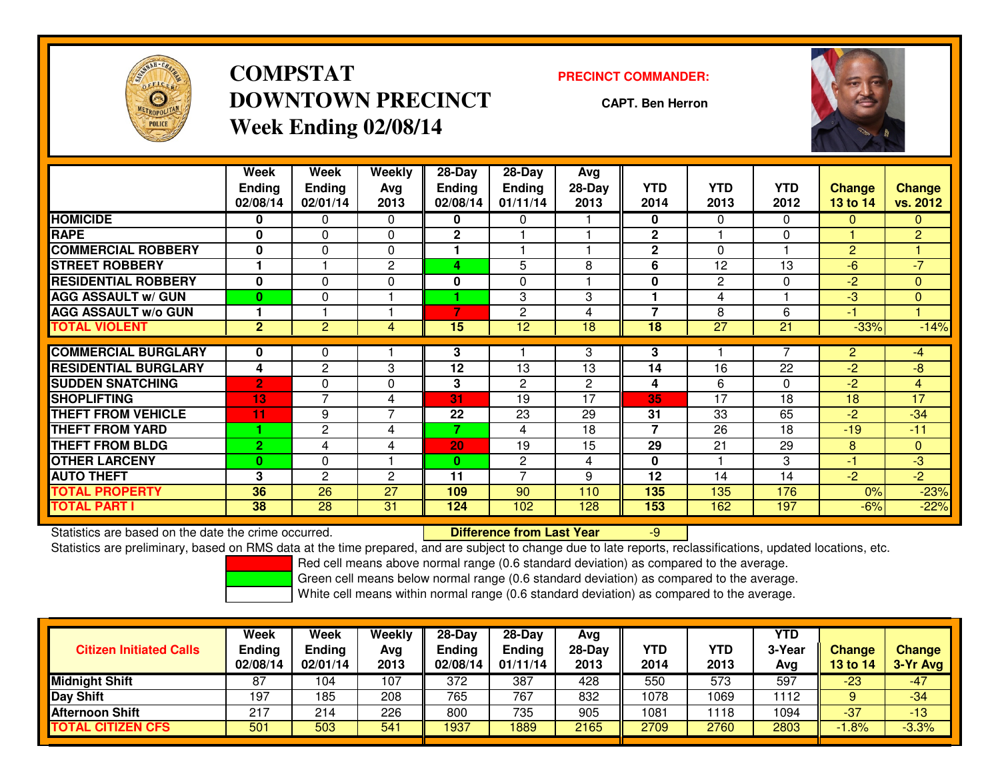

# **COMPSTATDOWNTOWN PRECINCTWeek Ending 02/08/14**

#### **PRECINCT COMMANDER:**

**CAPT. Ben Herron**



|                             | Week<br><b>Ending</b><br>02/08/14 | Week<br><b>Ending</b><br>02/01/14 | Weekly<br>Avg<br>2013 | $28-Day$<br><b>Ending</b><br>02/08/14 | $28$ -Day<br><b>Ending</b><br>01/11/14 | Avg<br>$28-Day$<br>2013 | <b>YTD</b><br>2014 | <b>YTD</b><br>2013 | <b>YTD</b><br>2012 | <b>Change</b><br><b>13 to 14</b> | <b>Change</b><br>vs. 2012 |
|-----------------------------|-----------------------------------|-----------------------------------|-----------------------|---------------------------------------|----------------------------------------|-------------------------|--------------------|--------------------|--------------------|----------------------------------|---------------------------|
| <b>HOMICIDE</b>             | 0                                 | 0                                 | $\Omega$              | 0                                     | 0                                      |                         | 0                  | $\mathbf{0}$       | 0                  | $\mathbf{0}$                     | $\Omega$                  |
| <b>RAPE</b>                 | 0                                 | $\Omega$                          | $\Omega$              | $\mathbf{2}$                          |                                        |                         | $\mathbf{2}$       |                    | $\Omega$           |                                  | $\overline{2}$            |
| <b>COMMERCIAL ROBBERY</b>   | $\bf{0}$                          | $\Omega$                          | $\Omega$              |                                       |                                        |                         | $\mathbf{2}$       | $\Omega$           |                    | $\overline{2}$                   |                           |
| <b>STREET ROBBERY</b>       |                                   |                                   | 2                     | 4                                     | 5                                      | 8                       | 6                  | 12                 | 13                 | $-6$                             | $-7'$                     |
| <b>RESIDENTIAL ROBBERY</b>  | $\bf{0}$                          | 0                                 | $\Omega$              | 0                                     | $\Omega$                               |                         | $\bf{0}$           | 2                  | $\Omega$           | $-2$                             | $\Omega$                  |
| <b>AGG ASSAULT w/ GUN</b>   | $\bf{0}$                          | 0                                 |                       |                                       | 3                                      | 3                       |                    | 4                  |                    | $-3$                             | $\mathbf{0}$              |
| <b>AGG ASSAULT w/o GUN</b>  |                                   |                                   |                       | 7                                     | 2                                      | 4                       | 7                  | 8                  | 6                  | -1                               |                           |
| <b>TOTAL VIOLENT</b>        | 2 <sup>1</sup>                    | 2                                 | 4                     | 15                                    | 12                                     | 18                      | 18                 | 27                 | 21                 | $-33%$                           | $-14%$                    |
|                             |                                   |                                   |                       |                                       |                                        |                         |                    |                    |                    |                                  |                           |
| <b>COMMERCIAL BURGLARY</b>  | 0                                 | 0                                 |                       | 3                                     |                                        | 3                       | 3                  |                    |                    | $\overline{2}$                   | -4                        |
| <b>RESIDENTIAL BURGLARY</b> | 4                                 | $\overline{c}$                    | 3                     | 12                                    | 13                                     | 13                      | 14                 | 16                 | 22                 | $-2$                             | -8                        |
| <b>SUDDEN SNATCHING</b>     | $\overline{2}$                    | 0                                 | $\Omega$              | 3                                     | 2                                      | $\mathbf{2}$            | 4                  | 6                  | 0                  | $-2$                             | $\overline{4}$            |
| <b>SHOPLIFTING</b>          | 13                                | 7                                 | 4                     | 31                                    | 19                                     | 17                      | 35                 | 17                 | 18                 | 18                               | $\overline{17}$           |
| <b>THEFT FROM VEHICLE</b>   | 11                                | 9                                 | 7                     | 22                                    | 23                                     | 29                      | 31                 | 33                 | 65                 | $-2$                             | $-34$                     |
| <b>THEFT FROM YARD</b>      |                                   | $\mathbf{2}$                      | 4                     | 7                                     | 4                                      | 18                      | $\overline{7}$     | 26                 | 18                 | $-19$                            | $-11$                     |
| <b>THEFT FROM BLDG</b>      | $\overline{2}$                    | 4                                 | 4                     | 20                                    | 19                                     | 15                      | 29                 | 21                 | 29                 | 8                                | $\Omega$                  |
| <b>OTHER LARCENY</b>        | $\mathbf{0}$                      | 0                                 |                       | $\bf{0}$                              | $\mathbf{2}$                           | 4                       | 0                  |                    | 3                  | $-1$                             | $-3$                      |
| <b>AUTO THEFT</b>           | 3                                 | 2                                 | 2                     | 11                                    | $\overline{ }$                         | 9                       | 12                 | 14                 | 14                 | $-2$                             | $-2$                      |
| TOTAL PROPERTY              | 36                                | 26                                | 27                    | 109                                   | 90                                     | 110                     | 135                | 135                | 176                | 0%                               | $-23%$                    |
| TOTAL PART I                | 38                                | $\overline{28}$                   | 31                    | 124                                   | 102                                    | 128                     | 153                | 162                | 197                | $-6%$                            | $-22%$                    |

Statistics are based on the date the crime occurred. **Difference from Last Year** 

Statistics are based on the date the crime occurred.<br>Statistics are preliminary, based on RMS data at the time prepared, and are subject to change due to late reports, reclassifications, updated locations, etc.

Red cell means above normal range (0.6 standard deviation) as compared to the average.

Green cell means below normal range (0.6 standard deviation) as compared to the average.

| <b>Citizen Initiated Calls</b> | Week<br><b>Ending</b><br>02/08/14 | <b>Week</b><br>Ending<br>02/01/14 | Weekly<br>Avg<br>2013 | $28-Dav$<br><b>Ending</b><br>02/08/14 | 28-Day<br><b>Ending</b><br>01/11/14 | Avg<br>$28-Day$<br>2013 | <b>YTD</b><br>2014 | YTD<br>2013 | <b>YTD</b><br>3-Year<br>Avg | <b>Change</b><br>13 to 14 | <b>Change</b><br>3-Yr Avg |
|--------------------------------|-----------------------------------|-----------------------------------|-----------------------|---------------------------------------|-------------------------------------|-------------------------|--------------------|-------------|-----------------------------|---------------------------|---------------------------|
| <b>Midnight Shift</b>          | 87                                | 104                               | 107                   | 372                                   | 387                                 | 428                     | 550                | 573         | 597                         | $-23$                     | $-47$                     |
| <b>Day Shift</b>               | 197                               | 185                               | 208                   | 765                                   | 767                                 | 832                     | 1078               | 1069        | 1112                        |                           | $-34$                     |
| <b>Afternoon Shift</b>         | 217                               | 214                               | 226                   | 800                                   | 735                                 | 905                     | 1081               | 118         | 1094                        | $-37$                     | $-13$                     |
| <b>TOTAL CITIZEN CFS</b>       | 501                               | 503                               | 541                   | 1937                                  | 1889                                | 2165                    | 2709               | 2760        | 2803                        | $-1.8%$                   | $-3.3%$                   |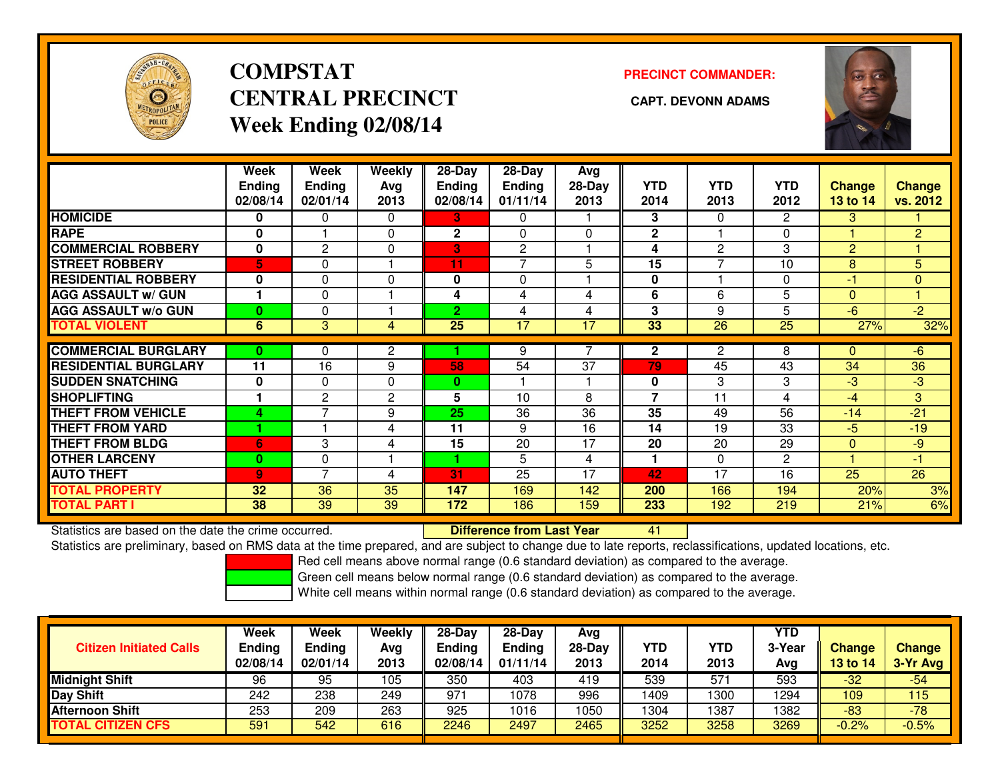

# **COMPSTATCENTRAL PRECINCT** CAPT. DEVONN ADAMS **Week Ending 02/08/14**

### **PRECINCT COMMANDER:**



|                             | Week<br><b>Ending</b><br>02/08/14 | Week<br><b>Ending</b><br>02/01/14 | Weekly<br>Avg<br>2013 | 28-Day<br>Ending<br>02/08/14 | 28-Day<br><b>Ending</b><br>01/11/14 | Avg<br>$28-Day$<br>2013 | <b>YTD</b><br>2014 | <b>YTD</b><br>2013 | <b>YTD</b><br>2012 | Change<br>13 to 14 | <b>Change</b><br>vs. 2012 |
|-----------------------------|-----------------------------------|-----------------------------------|-----------------------|------------------------------|-------------------------------------|-------------------------|--------------------|--------------------|--------------------|--------------------|---------------------------|
| <b>HOMICIDE</b>             | 0                                 | 0                                 | $\Omega$              | 3                            | 0                                   |                         | 3                  | $\mathbf{0}$       | $\mathbf{2}$       | 3                  |                           |
| <b>RAPE</b>                 | 0                                 |                                   | 0                     | 2                            | $\Omega$                            | 0                       | $\overline{2}$     |                    | 0                  |                    | 2                         |
| <b>COMMERCIAL ROBBERY</b>   | 0                                 | $\mathbf{2}$                      | 0                     | 3                            | $\mathbf{2}$                        |                         | 4                  | 2                  | 3                  | 2                  |                           |
| <b>STREET ROBBERY</b>       | 5                                 | 0                                 |                       | 11                           | $\overline{ }$                      | 5                       | 15                 | $\overline{ }$     | 10                 | 8                  | 5                         |
| <b>RESIDENTIAL ROBBERY</b>  | $\mathbf 0$                       | $\Omega$                          | $\mathbf{0}$          | $\bf{0}$                     | $\Omega$                            |                         | 0                  |                    | $\Omega$           | $-1$               | $\Omega$                  |
| <b>AGG ASSAULT W/ GUN</b>   |                                   | $\Omega$                          |                       | 4                            | 4                                   | 4                       | 6                  | 6                  | 5                  | $\Omega$           | 4                         |
| <b>AGG ASSAULT w/o GUN</b>  | $\bf{0}$                          | $\Omega$                          |                       | $\overline{2}$               | 4                                   | 4                       | 3                  | 9                  | 5                  | $-6$               | $-2$                      |
| <b>TOTAL VIOLENT</b>        | 6                                 | 3                                 | 4                     | $\overline{25}$              | 17                                  | 17                      | 33                 | $\overline{26}$    | $\overline{25}$    | 27%                | 32%                       |
|                             |                                   |                                   |                       |                              |                                     |                         |                    |                    |                    |                    |                           |
| <b>COMMERCIAL BURGLARY</b>  | 0                                 | 0                                 | 2                     |                              | 9                                   |                         | $\mathbf{2}$       | 2                  | 8                  | $\Omega$           | $-6$                      |
| <b>RESIDENTIAL BURGLARY</b> | 11                                | 16                                | 9                     | 58                           | 54                                  | 37                      | 79                 | 45                 | 43                 | 34                 | 36                        |
| <b>SUDDEN SNATCHING</b>     | $\mathbf 0$                       | 0                                 | 0                     | 0                            |                                     |                         | 0                  | 3                  | 3                  | $-3$               | $-3$                      |
| <b>SHOPLIFTING</b>          |                                   | $\overline{2}$                    | $\overline{2}$        | 5                            | 10                                  | 8                       | 7                  | 11                 | 4                  | -4                 | 3                         |
| <b>THEFT FROM VEHICLE</b>   | 4                                 | 7                                 | 9                     | 25                           | 36                                  | 36                      | 35                 | 49                 | 56                 | $-14$              | $-21$                     |
| <b>THEFT FROM YARD</b>      |                                   |                                   | 4                     | 11                           | 9                                   | 16                      | 14                 | 19                 | 33                 | $-5$               | $-19$                     |
| <b>THEFT FROM BLDG</b>      | 6                                 | 3                                 | 4                     | 15                           | 20                                  | 17                      | 20                 | 20                 | 29                 | $\Omega$           | $-9$                      |
| <b>OTHER LARCENY</b>        | $\bf{0}$                          | $\Omega$                          |                       | 1                            | 5                                   | 4                       | 1                  | $\mathbf{0}$       | 2                  |                    | $-1$                      |
| <b>AUTO THEFT</b>           | $\overline{9}$                    | $\overline{ }$                    | 4                     | 31                           | 25                                  | 17                      | 42                 | 17                 | 16                 | 25                 | 26                        |
| <b>TOTAL PROPERTY</b>       | 32                                | 36                                | 35                    | 147                          | 169                                 | 142                     | 200                | 166                | 194                | 20%                | 3%                        |
| <b>TOTAL PART I</b>         | 38                                | 39                                | 39                    | 172                          | 186                                 | 159                     | 233                | 192                | 219                | 21%                | 6%                        |

Statistics are based on the date the crime occurred. **Difference from Last Year** 

<sup>41</sup>

Statistics are preliminary, based on RMS data at the time prepared, and are subject to change due to late reports, reclassifications, updated locations, etc.

Red cell means above normal range (0.6 standard deviation) as compared to the average.

Green cell means below normal range (0.6 standard deviation) as compared to the average.

| <b>Citizen Initiated Calls</b> | Week<br>Ending<br>02/08/14 | Week<br>Ending<br>02/01/14 | <b>Weekly</b><br>Avg<br>2013 | $28-Day$<br><b>Ending</b><br>02/08/14 | $28 - Day$<br><b>Ending</b><br>01/11/14 | Avg<br>28-Day<br>2013 | YTD<br>2014 | YTD<br>2013 | <b>YTD</b><br>3-Year<br>Avg | Change<br><b>13 to 14</b> | <b>Change</b><br>3-Yr Avg |
|--------------------------------|----------------------------|----------------------------|------------------------------|---------------------------------------|-----------------------------------------|-----------------------|-------------|-------------|-----------------------------|---------------------------|---------------------------|
| Midnight Shift                 | 96                         | 95                         | 105                          | 350                                   | 403                                     | 419                   | 539         | 571         | 593                         | $-32$                     | $-54$                     |
| Day Shift                      | 242                        | 238                        | 249                          | 971                                   | 1078                                    | 996                   | 1409        | 1300        | 1294                        | 109                       | 115                       |
| <b>Afternoon Shift</b>         | 253                        | 209                        | 263                          | 925                                   | 1016                                    | 1050                  | 1304        | 1387        | 1382                        | $-83$                     | $-78$                     |
| <b>TOTAL CITIZEN CFS</b>       | 591                        | 542                        | 616                          | 2246                                  | 2497                                    | 2465                  | 3252        | 3258        | 3269                        | $-0.2%$                   | $-0.5%$                   |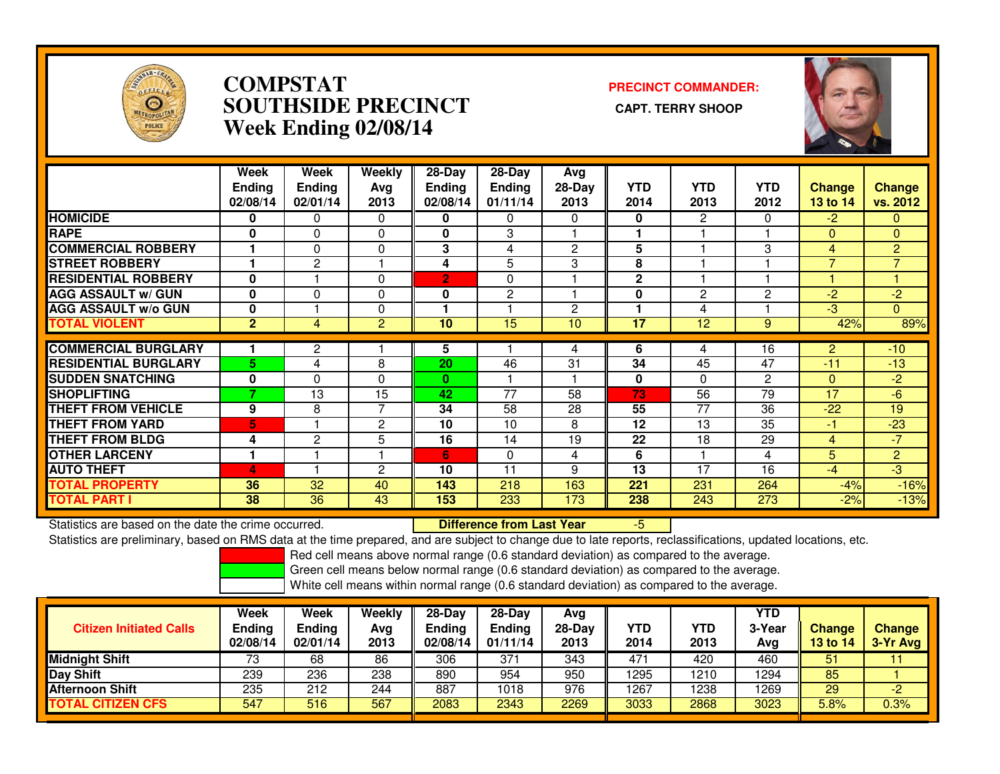

### **COMPSTAT PRECINCT COMMANDER: SOUTHSIDE PRECINCT CAPT. TERRY SHOOPWeek Ending 02/08/14**



|                             | Week           | Week           | Weekly         | $28-Day$       | 28-Day          | Avg            |                 |                |                |                 |                |
|-----------------------------|----------------|----------------|----------------|----------------|-----------------|----------------|-----------------|----------------|----------------|-----------------|----------------|
|                             | <b>Ending</b>  | <b>Ending</b>  | Ava            | <b>Ending</b>  | <b>Ending</b>   | $28-Day$       | <b>YTD</b>      | <b>YTD</b>     | <b>YTD</b>     | <b>Change</b>   | Change         |
|                             | 02/08/14       | 02/01/14       | 2013           | 02/08/14       | 01/11/14        | 2013           | 2014            | 2013           | 2012           | <b>13 to 14</b> | vs. 2012       |
| <b>HOMICIDE</b>             | 0              | 0              | $\Omega$       | 0              | 0               | $\Omega$       | 0               | 2              | 0              | $-2$            | $\overline{0}$ |
| <b>RAPE</b>                 | 0              | 0              | $\Omega$       | 0              | 3               |                |                 |                |                | $\Omega$        | $\mathbf{0}$   |
| <b>COMMERCIAL ROBBERY</b>   |                | $\Omega$       | $\Omega$       | 3              | 4               | $\overline{c}$ | 5               |                | 3              | 4               | $\overline{2}$ |
| <b>STREET ROBBERY</b>       |                | $\overline{2}$ |                | 4              | 5               | 3              | 8               |                |                | $\overline{7}$  | $\overline{7}$ |
| <b>RESIDENTIAL ROBBERY</b>  | $\bf{0}$       |                | $\Omega$       | $\overline{2}$ | $\Omega$        |                | $\overline{2}$  |                |                |                 |                |
| <b>AGG ASSAULT w/ GUN</b>   | $\bf{0}$       | 0              | $\Omega$       | 0              | 2               |                | 0               | $\overline{2}$ | $\overline{c}$ | -2              | $-2$           |
| <b>AGG ASSAULT w/o GUN</b>  | $\mathbf{0}$   |                | 0              |                |                 | $\overline{2}$ |                 | 4              |                | $-3$            | $\Omega$       |
| <b>TOTAL VIOLENT</b>        | $\overline{2}$ | 4              | 2              | 10             | 15              | 10             | $\overline{17}$ | 12             | 9              | 42%             | 89%            |
| <b>COMMERCIAL BURGLARY</b>  |                | $\mathbf{2}$   |                | 5              |                 | 4              | 6               | 4              | 16             | $\overline{2}$  | $-10$          |
| <b>RESIDENTIAL BURGLARY</b> | 5.             | 4              | 8              | 20             | 46              | 31             | 34              | 45             | 47             | $-11$           | $-13$          |
|                             |                |                |                |                |                 |                |                 |                |                |                 |                |
| <b>SUDDEN SNATCHING</b>     | $\bf{0}$<br>7  | 0              | $\Omega$       | $\mathbf{0}$   |                 |                | 0               | $\Omega$       | $\overline{c}$ | $\Omega$        | $-2$           |
| <b>SHOPLIFTING</b>          |                | 13             | 15             | 42             | $\overline{77}$ | 58             | 73              | 56             | 79             | 17              | $-6$           |
| <b>THEFT FROM VEHICLE</b>   | 9              | 8              | 7              | 34             | 58              | 28             | 55              | 77             | 36             | $-22$           | 19             |
| <b>THEFT FROM YARD</b>      | 5              |                | $\overline{c}$ | 10             | 10              | 8              | 12              | 13             | 35             | -1              | $-23$          |
| <b>THEFT FROM BLDG</b>      | 4              | $\overline{2}$ | 5              | 16             | 14              | 19             | 22              | 18             | 29             | 4               | $-7$           |
| <b>OTHER LARCENY</b>        |                |                |                | 6              | $\Omega$        | 4              | 6               |                | 4              | 5               | $\overline{2}$ |
| <b>AUTO THEFT</b>           | 4              |                | $\overline{c}$ | 10             | 11              | 9              | 13              | 17             | 16             | -4              | $-3$           |
| <b>TOTAL PROPERTY</b>       | 36             | 32             | 40             | 143            | 218             | 163            | 221             | 231            | 264            | $-4%$           | $-16%$         |
| <b>TOTAL PART I</b>         | 38             | 36             | 43             | 153            | 233             | 173            | 238             | 243            | 273            | $-2%$           | $-13%$         |

Statistics are based on the date the crime occurred. **Difference from Last Year** Statistics are based on the date the crime occurred. **Externee the Lub of Liberty Cast Year Act 15 Externee on**<br>Statistics are preliminary, based on RMS data at the time prepared, and are subject to change due to late repo

Red cell means above normal range (0.6 standard deviation) as compared to the average.

Green cell means below normal range (0.6 standard deviation) as compared to the average.

| <b>Citizen Initiated Calls</b> | Week<br><b>Ending</b><br>02/08/14 | <b>Week</b><br>Ending<br>02/01/14 | Weekly<br>Avg<br>2013 | $28$ -Day<br>Ending<br>02/08/14 | $28-Dav$<br><b>Ending</b><br>01/11/14 | Avg<br>28-Day<br>2013 | <b>YTD</b><br>2014 | YTD<br>2013 | <b>YTD</b><br>3-Year<br>Avg | <b>Change</b><br>13 to 14 | <b>Change</b><br>3-Yr Avg |
|--------------------------------|-----------------------------------|-----------------------------------|-----------------------|---------------------------------|---------------------------------------|-----------------------|--------------------|-------------|-----------------------------|---------------------------|---------------------------|
| <b>Midnight Shift</b>          | 73                                | 68                                | 86                    | 306                             | 371                                   | 343                   | 471                | 420         | 460                         | 51                        |                           |
| Day Shift                      | 239                               | 236                               | 238                   | 890                             | 954                                   | 950                   | 1295               | 1210        | 1294                        | 85                        |                           |
| <b>Afternoon Shift</b>         | 235                               | 212                               | 244                   | 887                             | 1018                                  | 976                   | 1267               | 1238        | 1269                        | 29                        | -2                        |
| . CITIZEN CFS<br>ΓΟΤΑL         | 547                               | 516                               | 567                   | 2083                            | 2343                                  | 2269                  | 3033               | 2868        | 3023                        | 5.8%                      | 0.3%                      |